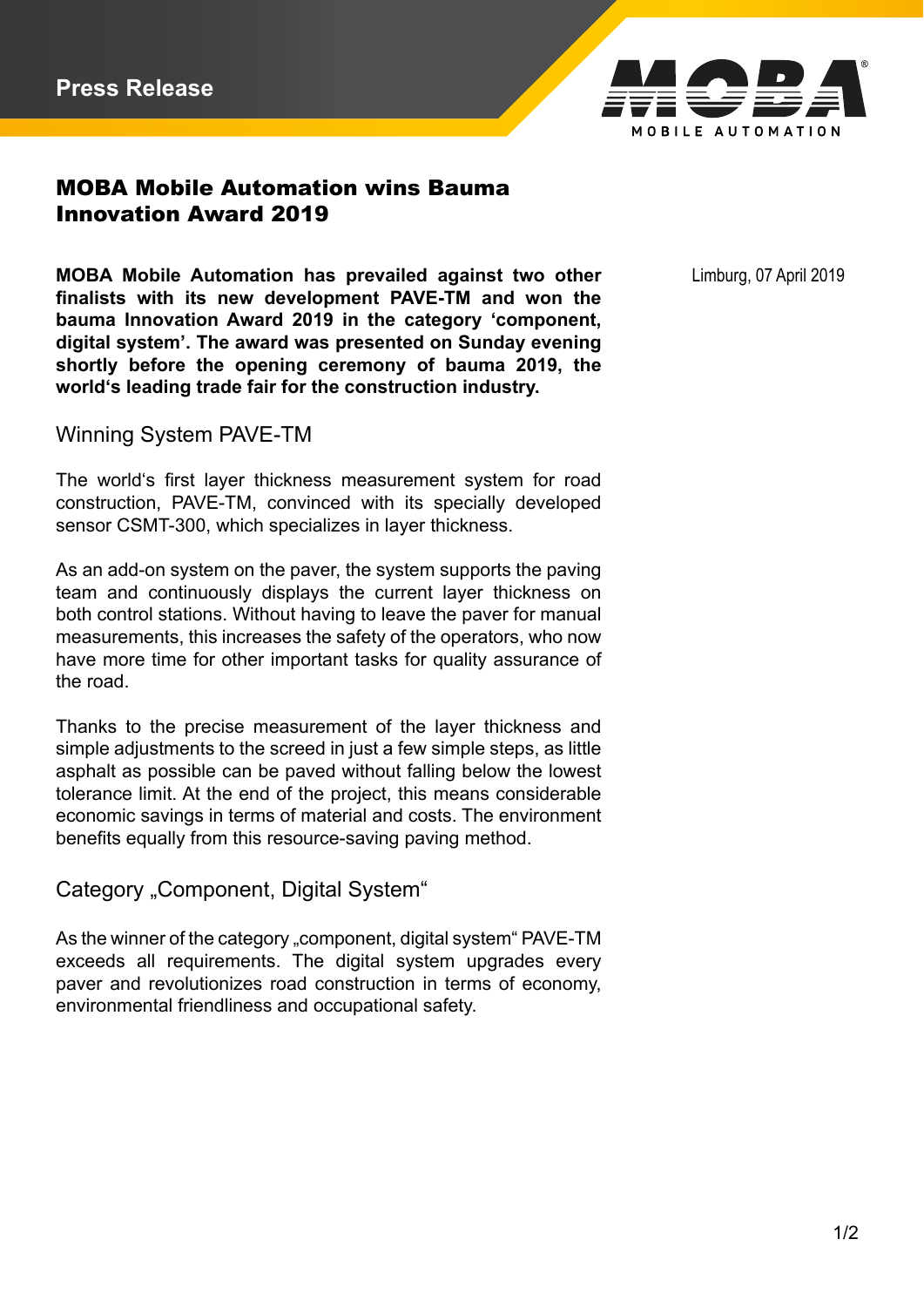

## MOBA Mobile Automation wins Bauma Innovation Award 2019

**MOBA Mobile Automation has prevailed against two other** Limburg, 07 April 2019 **finalists with its new development PAVE-TM and won the bauma Innovation Award 2019 in the category 'component, digital system'. The award was presented on Sunday evening shortly before the opening ceremony of bauma 2019, the world's leading trade fair for the construction industry.**

Winning System PAVE-TM

The world's first layer thickness measurement system for road construction, PAVE-TM, convinced with its specially developed sensor CSMT-300, which specializes in layer thickness.

As an add-on system on the paver, the system supports the paving team and continuously displays the current layer thickness on both control stations. Without having to leave the paver for manual measurements, this increases the safety of the operators, who now have more time for other important tasks for quality assurance of the road.

Thanks to the precise measurement of the layer thickness and simple adjustments to the screed in just a few simple steps, as little asphalt as possible can be paved without falling below the lowest tolerance limit. At the end of the project, this means considerable economic savings in terms of material and costs. The environment benefits equally from this resource-saving paving method.

Category "Component, Digital System"

As the winner of the category "component, digital system" PAVE-TM exceeds all requirements. The digital system upgrades every paver and revolutionizes road construction in terms of economy, environmental friendliness and occupational safety.